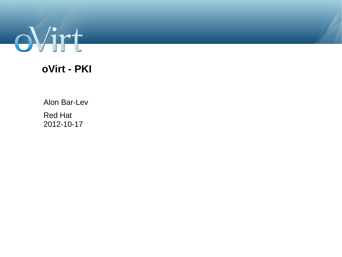

#### **oVirt - PKI**

Alon Bar-Lev

Red Hat 2012-10-17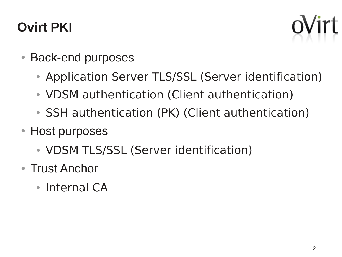# **Ovirt PKI**



- Back-end purposes
	- Application Server TLS/SSL (Server identification)
	- VDSM authentication (Client authentication)
	- SSH authentication (PK) (Client authentication)
- Host purposes
	- VDSM TLS/SSL (Server identification)
- Trust Anchor
	- $\cdot$  Internal CA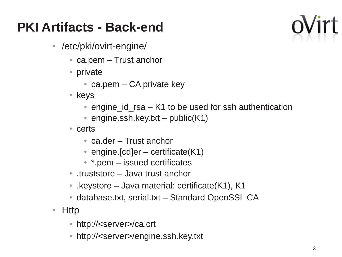## **PKI Artifacts - Back-end**

- /etc/pki/ovirt-engine/
	- $\bullet$  ca.pem Trust anchor
	- private
		- ca.pem  $-$  CA private key
	- keys
		- engine id  $rsa K1$  to be used for ssh authentication
		- engine.ssh.key.txt public( $K1$ )
	- certs
		- $\bullet$  ca.der Trust anchor
		- engine. [cd]er certificate $(K1)$
		- $*$  \*.pem issued certificates
	- truststore Java trust anchor
	- .keystore Java material: certificate $(K1)$ , K1
	- database.txt, serial.txt Standard OpenSSL CA
- Http
	- http://<server>/ca.crt
	- http://<server>/engine.ssh.key.txt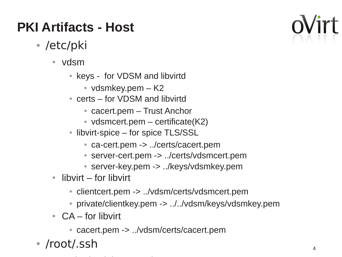# **PKI Artifacts - Host**

- /etc/pki
	- vdsm
		- keys for VDSM and libvirtd
			- $\bullet$  vdsmkey.pem  $-$  K2
		- $\bullet$  certs for VDSM and libvirtd
			- cacert.pem Trust Anchor
			- vdsmcert.pem certificate $(K2)$
		- libvirt-spice for spice TLS/SSL
			- ca-cert.pem -> ../certs/cacert.pem
			- server-cert.pem -> ../certs/vdsmcert.pem
			- server-key.pem -> ../keys/vdsmkey.pem
	- $\bullet$  libvirt for libvirt
		- clientcert.pem -> ../vdsm/certs/vdsmcert.pem
		- private/clientkey.pem -> ../../vdsm/keys/vdsmkey.pem
	- $CA$  for libvirt
		- cacert.pem -> ../vdsm/certs/cacert.pem
- /root/.ssh

4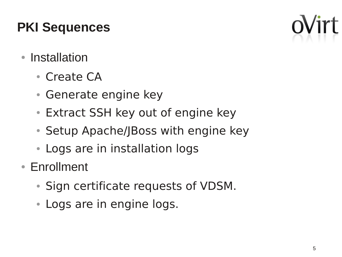## **PKI Sequences**

- Installation
	- Create CA
	- Generate engine key
	- Extract SSH key out of engine key
	- Setup Apache/JBoss with engine key
	- Logs are in installation logs
- Enrollment
	- Sign certificate requests of VDSM.
	- Logs are in engine logs.

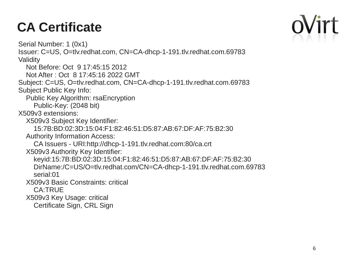# **CA Certificate**

 Serial Number: 1 (0x1) Issuer: C=US, O=tlv.redhat.com, CN=CA-dhcp-1-191.tlv.redhat.com.69783 **Validity**  Not Before: Oct 9 17:45:15 2012 Not After : Oct 8 17:45:16 2022 GMT Subject: C=US, O=tlv.redhat.com, CN=CA-dhcp-1-191.tlv.redhat.com.69783 Subject Public Key Info: Public Key Algorithm: rsaEncryption Public-Key: (2048 bit) X509v3 extensions: X509v3 Subject Key Identifier: 15:7B:BD:02:3D:15:04:F1:82:46:51:D5:87:AB:67:DF:AF:75:B2:30 Authority Information Access: CA Issuers - URI:http://dhcp-1-191.tlv.redhat.com:80/ca.crt X509v3 Authority Key Identifier: keyid:15:7B:BD:02:3D:15:04:F1:82:46:51:D5:87:AB:67:DF:AF:75:B2:30 DirName:/C=US/O=tlv.redhat.com/CN=CA-dhcp-1-191.tlv.redhat.com.69783 serial:01 X509v3 Basic Constraints: critical CA:TRUE X509v3 Key Usage: critical Certificate Sign, CRL Sign

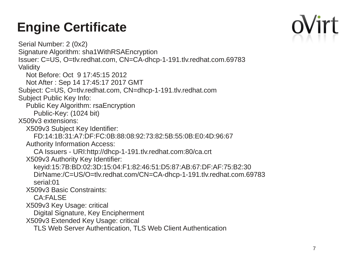# **Engine Certificate**

 Serial Number: 2 (0x2) Signature Algorithm: sha1WithRSAEncryption Issuer: C=US, O=tlv.redhat.com, CN=CA-dhcp-1-191.tlv.redhat.com.69783 Validity Not Before: Oct 9 17:45:15 2012 Not After : Sep 14 17:45:17 2017 GMT Subject: C=US, O=tlv.redhat.com, CN=dhcp-1-191.tlv.redhat.com Subject Public Key Info: Public Key Algorithm: rsaEncryption Public-Key: (1024 bit) X509v3 extensions: X509v3 Subject Key Identifier: FD:14:1B:31:A7:DF:FC:0B:88:08:92:73:82:5B:55:0B:E0:4D:96:67 Authority Information Access: CA Issuers - URI:http://dhcp-1-191.tlv.redhat.com:80/ca.crt X509v3 Authority Key Identifier: keyid:15:7B:BD:02:3D:15:04:F1:82:46:51:D5:87:AB:67:DF:AF:75:B2:30 DirName:/C=US/O=tlv.redhat.com/CN=CA-dhcp-1-191.tlv.redhat.com.69783 serial:01 X509v3 Basic Constraints: CA:FALSE X509v3 Key Usage: critical Digital Signature, Key Encipherment X509v3 Extended Key Usage: critical TLS Web Server Authentication, TLS Web Client Authentication

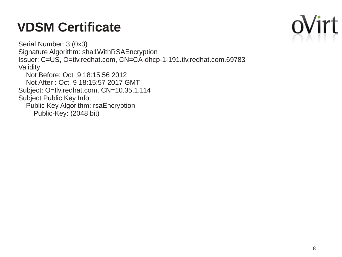## **VDSM Certificate**

 Serial Number: 3 (0x3) Signature Algorithm: sha1WithRSAEncryption Issuer: C=US, O=tlv.redhat.com, CN=CA-dhcp-1-191.tlv.redhat.com.69783 Validity Not Before: Oct 9 18:15:56 2012 Not After : Oct 9 18:15:57 2017 GMT Subject: O=tlv.redhat.com, CN=10.35.1.114

Subject Public Key Info:

 Public Key Algorithm: rsaEncryption Public-Key: (2048 bit)

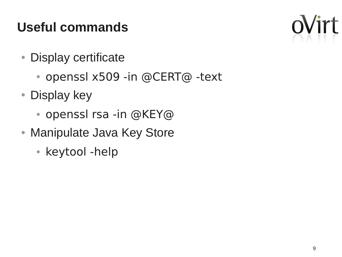## **Useful commands**

- Display certificate
	- openssl x509 -in @CERT@ -text
- Display key
	- openssl rsa -in @KEY@
- Manipulate Java Key Store
	- keytool -help

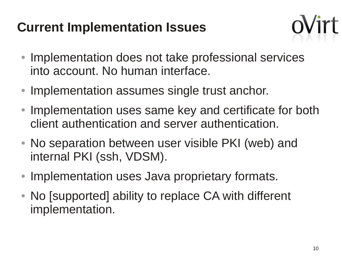### **Current Implementation Issues**



- Implementation does not take professional services into account. No human interface.
- Implementation assumes single trust anchor.
- Implementation uses same key and certificate for both client authentication and server authentication.
- No separation between user visible PKI (web) and internal PKI (ssh, VDSM).
- Implementation uses Java proprietary formats.
- No [supported] ability to replace CA with different implementation.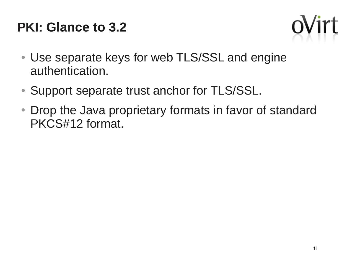## **PKI: Glance to 3.2**



- Use separate keys for web TLS/SSL and engine authentication.
- Support separate trust anchor for TLS/SSL.
- Drop the Java proprietary formats in favor of standard PKCS#12 format.